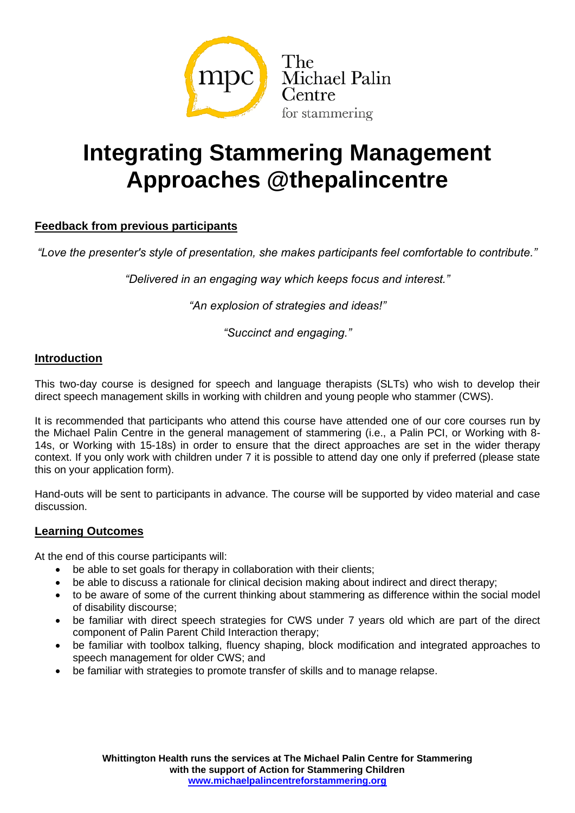

# **Integrating Stammering Management Approaches @thepalincentre**

# **Feedback from previous participants**

*"Love the presenter's style of presentation, she makes participants feel comfortable to contribute."*

*"Delivered in an engaging way which keeps focus and interest."*

*"An explosion of strategies and ideas!"*

*"Succinct and engaging."*

## **Introduction**

This two-day course is designed for speech and language therapists (SLTs) who wish to develop their direct speech management skills in working with children and young people who stammer (CWS).

It is recommended that participants who attend this course have attended one of our core courses run by the Michael Palin Centre in the general management of stammering (i.e., a Palin PCI, or Working with 8- 14s, or Working with 15-18s) in order to ensure that the direct approaches are set in the wider therapy context. If you only work with children under 7 it is possible to attend day one only if preferred (please state this on your application form).

Hand-outs will be sent to participants in advance. The course will be supported by video material and case discussion.

## **Learning Outcomes**

At the end of this course participants will:

- be able to set goals for therapy in collaboration with their clients:
- be able to discuss a rationale for clinical decision making about indirect and direct therapy:
- to be aware of some of the current thinking about stammering as difference within the social model of disability discourse;
- be familiar with direct speech strategies for CWS under 7 years old which are part of the direct component of Palin Parent Child Interaction therapy;
- be familiar with toolbox talking, fluency shaping, block modification and integrated approaches to speech management for older CWS; and
- be familiar with strategies to promote transfer of skills and to manage relapse.